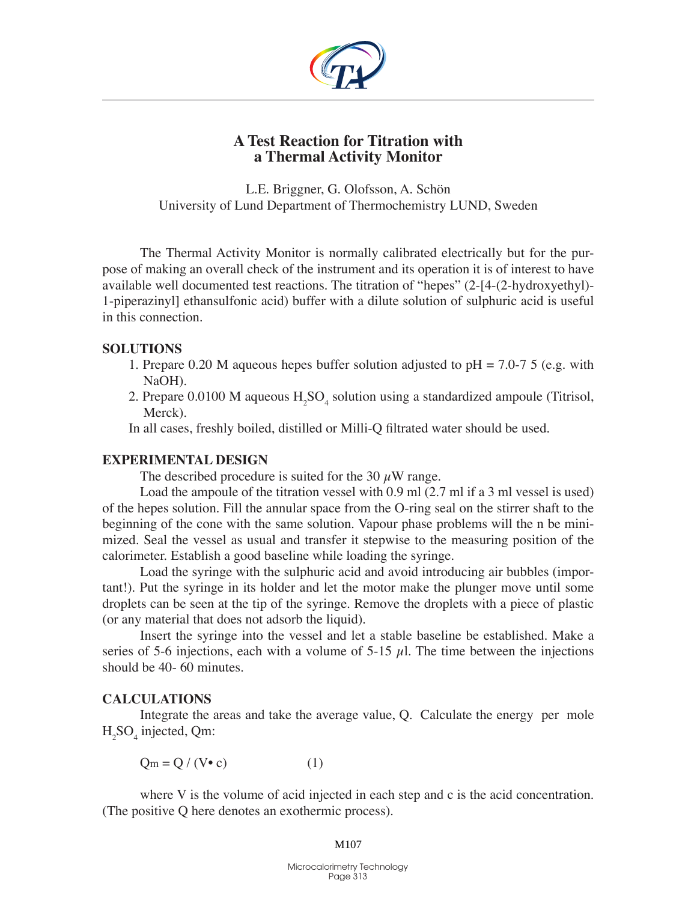

# **A Test Reaction for Titration with a Thermal Activity Monitor**

L.E. Briggner, G. Olofsson, A. Schön University of Lund Department of Thermochemistry LUND, Sweden

The Thermal Activity Monitor is normally calibrated electrically but for the purpose of making an overall check of the instrument and its operation it is of interest to have available well documented test reactions. The titration of "hepes" (2-[4-(2-hydroxyethyl)- 1-piperazinyl] ethansulfonic acid) buffer with a dilute solution of sulphuric acid is useful in this connection.

### **Solutions**

- 1. Prepare 0.20 M aqueous hepes buffer solution adjusted to pH = 7.0-7 5 (e.g. with NaOH).
- 2. Prepare  $0.0100$  M aqueous  $H_2SO_4$  solution using a standardized ampoule (Titrisol, Merck).

In all cases, freshly boiled, distilled or Milli-Q filtrated water should be used.

#### **Experimental Design**

The described procedure is suited for the 30  $\mu$ W range.

Load the ampoule of the titration vessel with 0.9 ml (2.7 ml if a 3 ml vessel is used) of the hepes solution. Fill the annular space from the O-ring seal on the stirrer shaft to the beginning of the cone with the same solution. Vapour phase problems will the n be minimized. Seal the vessel as usual and transfer it stepwise to the measuring position of the calorimeter. Establish a good baseline while loading the syringe.

Load the syringe with the sulphuric acid and avoid introducing air bubbles (important!). Put the syringe in its holder and let the motor make the plunger move until some droplets can be seen at the tip of the syringe. Remove the droplets with a piece of plastic (or any material that does not adsorb the liquid).

Insert the syringe into the vessel and let a stable baseline be established. Make a series of 5-6 injections, each with a volume of 5-15  $\mu$ . The time between the injections should be 40- 60 minutes.

## **Calculations**

Integrate the areas and take the average value, Q. Calculate the energy per mole  $H_2SO_4$  injected, Qm:

 $Q_m = Q / (V \cdot c)$  (1)

where V is the volume of acid injected in each step and c is the acid concentration. (The positive Q here denotes an exothermic process).